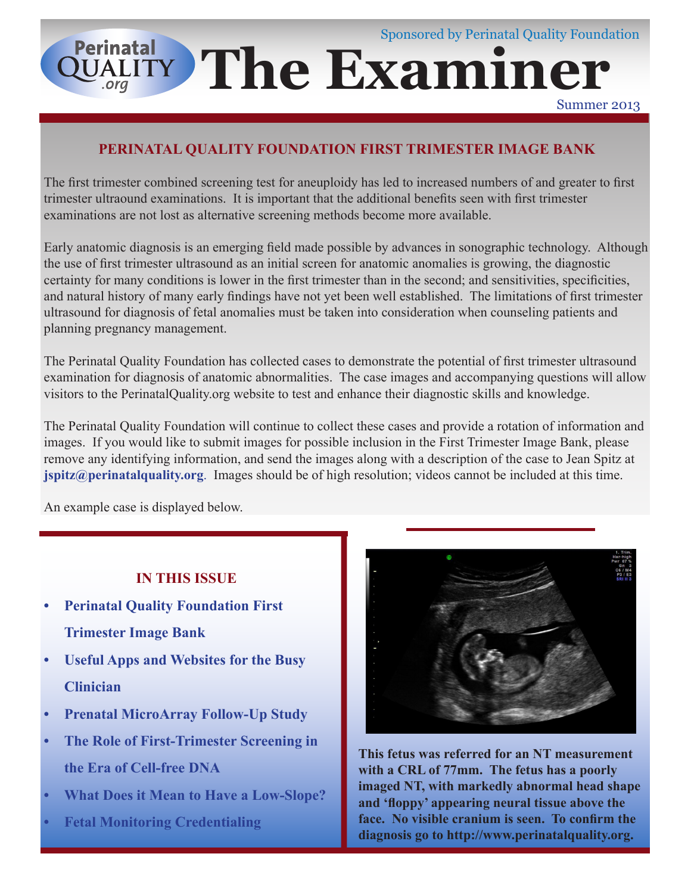# Sponsored by Perinatal Quality Foundation **Perinatal QUALITY The Examiner**

Summer 2013

### **PERINATAL QUALITY FOUNDATION FIRST TRIMESTER IMAGE BANK**

The first trimester combined screening test for aneuploidy has led to increased numbers of and greater to first trimester ultraound examinations. It is important that the additional benefits seen with first trimester examinations are not lost as alternative screening methods become more available.

Early anatomic diagnosis is an emerging field made possible by advances in sonographic technology. Although the use of first trimester ultrasound as an initial screen for anatomic anomalies is growing, the diagnostic certainty for many conditions is lower in the first trimester than in the second; and sensitivities, specificities, and natural history of many early findings have not yet been well established. The limitations of first trimester ultrasound for diagnosis of fetal anomalies must be taken into consideration when counseling patients and planning pregnancy management.

The Perinatal Quality Foundation has collected cases to demonstrate the potential of first trimester ultrasound examination for diagnosis of anatomic abnormalities. The case images and accompanying questions will allow visitors to the PerinatalQuality.org website to test and enhance their diagnostic skills and knowledge.

The Perinatal Quality Foundation will continue to collect these cases and provide a rotation of information and images. If you would like to submit images for possible inclusion in the First Trimester Image Bank, please remove any identifying information, and send the images along with a description of the case to Jean Spitz at **jspitz@perinatalquality.org**. Images should be of high resolution; videos cannot be included at this time.

An example case is displayed below.

#### **IN THIS ISSUE**

- **Perinatal Quality Foundation First Trimester Image Bank**
- **Useful Apps and Websites for the Busy Clinician**
- **Prenatal MicroArray Follow-Up Study**
- **The Role of First-Trimester Screening in the Era of Cell-free DNA**
- **• What Does it Mean to Have a Low-Slope?**
- **Fetal Monitoring Credentialing**



**This fetus was referred for an NT measurement with a CRL of 77mm. The fetus has a poorly imaged NT, with markedly abnormal head shape and 'floppy' appearing neural tissue above the face. No visible cranium is seen. To confirm the diagnosis go to http://www.perinatalquality.org.**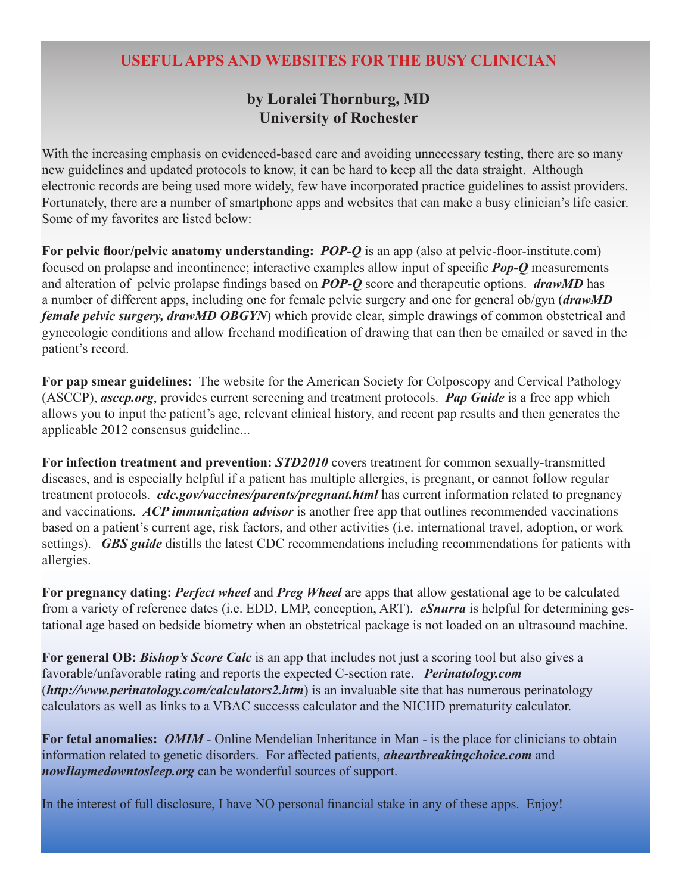#### **USEFUL APPS AND WEBSITES FOR THE BUSY CLINICIAN**

#### **by Loralei Thornburg, MD University of Rochester**

With the increasing emphasis on evidenced-based care and avoiding unnecessary testing, there are so many new guidelines and updated protocols to know, it can be hard to keep all the data straight. Although electronic records are being used more widely, few have incorporated practice guidelines to assist providers. Fortunately, there are a number of smartphone apps and websites that can make a busy clinician's life easier. Some of my favorites are listed below:

**For pelvic floor/pelvic anatomy understanding:** *POP-Q* is an app (also at pelvic-floor-institute.com) focused on prolapse and incontinence; interactive examples allow input of specific *Pop-Q* measurements and alteration of pelvic prolapse findings based on *POP-Q* score and therapeutic options. *drawMD* has a number of different apps, including one for female pelvic surgery and one for general ob/gyn (*drawMD female pelvic surgery, drawMD OBGYN*) which provide clear, simple drawings of common obstetrical and gynecologic conditions and allow freehand modification of drawing that can then be emailed or saved in the patient's record.

**For pap smear guidelines:** The website for the American Society for Colposcopy and Cervical Pathology (ASCCP), *asccp.org*, provides current screening and treatment protocols. *Pap Guide* is a free app which allows you to input the patient's age, relevant clinical history, and recent pap results and then generates the applicable 2012 consensus guideline...

**For infection treatment and prevention:** *STD2010* covers treatment for common sexually-transmitted diseases, and is especially helpful if a patient has multiple allergies, is pregnant, or cannot follow regular treatment protocols. *cdc.gov/vaccines/parents/pregnant.html* has current information related to pregnancy and vaccinations. *ACP immunization advisor* is another free app that outlines recommended vaccinations based on a patient's current age, risk factors, and other activities (i.e. international travel, adoption, or work settings). *GBS guide* distills the latest CDC recommendations including recommendations for patients with allergies.

**For pregnancy dating:** *Perfect wheel* and *Preg Wheel* are apps that allow gestational age to be calculated from a variety of reference dates (i.e. EDD, LMP, conception, ART). *eSnurra* is helpful for determining gestational age based on bedside biometry when an obstetrical package is not loaded on an ultrasound machine.

**For general OB:** *Bishop's Score Calc* is an app that includes not just a scoring tool but also gives a favorable/unfavorable rating and reports the expected C-section rate. *Perinatology.com* (*http://www.perinatology.com/calculators2.htm*) is an invaluable site that has numerous perinatology calculators as well as links to a VBAC successs calculator and the NICHD prematurity calculator.

**For fetal anomalies:** *OMIM* - Online Mendelian Inheritance in Man - is the place for clinicians to obtain information related to genetic disorders. For affected patients, *aheartbreakingchoice.com* and *nowIlaymedowntosleep.org* can be wonderful sources of support.

In the interest of full disclosure, I have NO personal financial stake in any of these apps. Enjoy!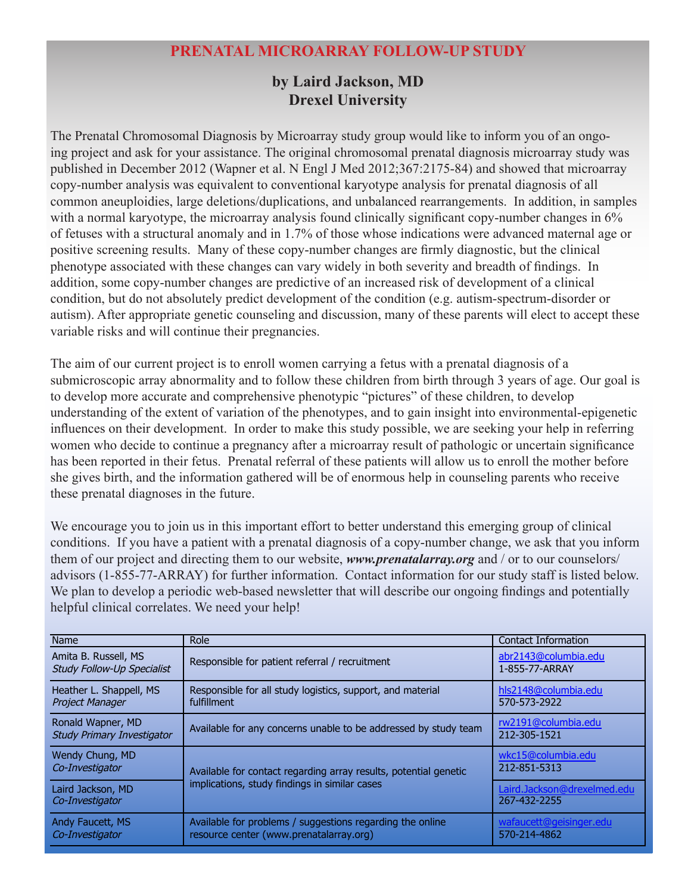## **PRENATAL MICROARRAY FOLLOW-UP STUDY**

#### **by Laird Jackson, MD Drexel University**

The Prenatal Chromosomal Diagnosis by Microarray study group would like to inform you of an ongoing project and ask for your assistance. The original chromosomal prenatal diagnosis microarray study was published in December 2012 (Wapner et al. N Engl J Med 2012;367:2175-84) and showed that microarray copy-number analysis was equivalent to conventional karyotype analysis for prenatal diagnosis of all common aneuploidies, large deletions/duplications, and unbalanced rearrangements. In addition, in samples with a normal karyotype, the microarray analysis found clinically significant copy-number changes in 6% of fetuses with a structural anomaly and in 1.7% of those whose indications were advanced maternal age or positive screening results. Many of these copy-number changes are firmly diagnostic, but the clinical phenotype associated with these changes can vary widely in both severity and breadth of findings. In addition, some copy-number changes are predictive of an increased risk of development of a clinical condition, but do not absolutely predict development of the condition (e.g. autism-spectrum-disorder or autism). After appropriate genetic counseling and discussion, many of these parents will elect to accept these variable risks and will continue their pregnancies.

The aim of our current project is to enroll women carrying a fetus with a prenatal diagnosis of a submicroscopic array abnormality and to follow these children from birth through 3 years of age. Our goal is to develop more accurate and comprehensive phenotypic "pictures" of these children, to develop understanding of the extent of variation of the phenotypes, and to gain insight into environmental-epigenetic influences on their development. In order to make this study possible, we are seeking your help in referring women who decide to continue a pregnancy after a microarray result of pathologic or uncertain significance has been reported in their fetus. Prenatal referral of these patients will allow us to enroll the mother before she gives birth, and the information gathered will be of enormous help in counseling parents who receive these prenatal diagnoses in the future.

We encourage you to join us in this important effort to better understand this emerging group of clinical conditions. If you have a patient with a prenatal diagnosis of a copy-number change, we ask that you inform them of our project and directing them to our website, *www.prenatalarray.org* and / or to our counselors/ advisors (1-855-77-ARRAY) for further information. Contact information for our study staff is listed below. We plan to develop a periodic web-based newsletter that will describe our ongoing findings and potentially helpful clinical correlates. We need your help!

| <b>Name</b>                                               | Role                                                                                                              | <b>Contact Information</b>                  |
|-----------------------------------------------------------|-------------------------------------------------------------------------------------------------------------------|---------------------------------------------|
| Amita B. Russell, MS<br><b>Study Follow-Up Specialist</b> | Responsible for patient referral / recruitment                                                                    | abr2143@columbia.edu<br>1-855-77-ARRAY      |
| Heather L. Shappell, MS<br><b>Project Manager</b>         | Responsible for all study logistics, support, and material<br>fulfillment                                         | hls2148@columbia.edu<br>570-573-2922        |
| Ronald Wapner, MD<br><b>Study Primary Investigator</b>    | Available for any concerns unable to be addressed by study team                                                   | rw2191@columbia.edu<br>212-305-1521         |
| Wendy Chung, MD<br>Co-Investigator                        | Available for contact regarding array results, potential genetic<br>implications, study findings in similar cases | wkc15@columbia.edu<br>212-851-5313          |
| Laird Jackson, MD<br>Co-Investigator                      |                                                                                                                   | Laird.Jackson@drexelmed.edu<br>267-432-2255 |
| Andy Faucett, MS<br>Co-Investigator                       | Available for problems / suggestions regarding the online<br>resource center (www.prenatalarray.org)              | wafaucett@geisinger.edu<br>570-214-4862     |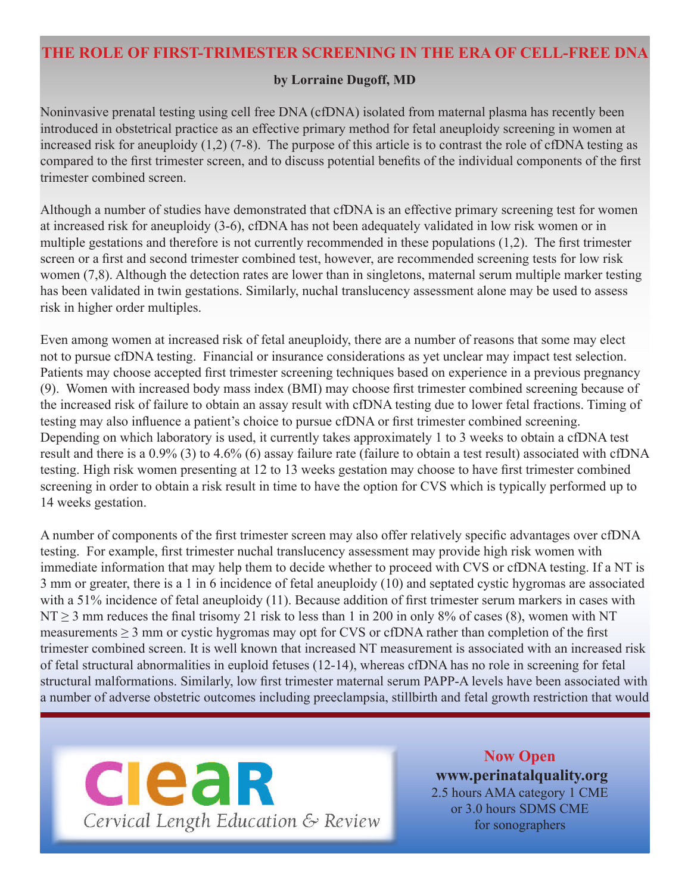#### **THE ROLE OF FIRST-TRIMESTER SCREENING IN THE ERA OF CELL-FREE DNA**

#### **by Lorraine Dugoff, MD**

Noninvasive prenatal testing using cell free DNA (cfDNA) isolated from maternal plasma has recently been introduced in obstetrical practice as an effective primary method for fetal aneuploidy screening in women at increased risk for aneuploidy (1,2) (7-8). The purpose of this article is to contrast the role of cfDNA testing as compared to the first trimester screen, and to discuss potential benefits of the individual components of the first trimester combined screen.

Although a number of studies have demonstrated that cfDNA is an effective primary screening test for women at increased risk for aneuploidy (3-6), cfDNA has not been adequately validated in low risk women or in multiple gestations and therefore is not currently recommended in these populations (1,2). The first trimester screen or a first and second trimester combined test, however, are recommended screening tests for low risk women (7,8). Although the detection rates are lower than in singletons, maternal serum multiple marker testing has been validated in twin gestations. Similarly, nuchal translucency assessment alone may be used to assess risk in higher order multiples.

Even among women at increased risk of fetal aneuploidy, there are a number of reasons that some may elect not to pursue cfDNA testing. Financial or insurance considerations as yet unclear may impact test selection. Patients may choose accepted first trimester screening techniques based on experience in a previous pregnancy (9). Women with increased body mass index (BMI) may choose first trimester combined screening because of the increased risk of failure to obtain an assay result with cfDNA testing due to lower fetal fractions. Timing of testing may also influence a patient's choice to pursue cfDNA or first trimester combined screening. Depending on which laboratory is used, it currently takes approximately 1 to 3 weeks to obtain a cfDNA test result and there is a 0.9% (3) to 4.6% (6) assay failure rate (failure to obtain a test result) associated with cfDNA testing. High risk women presenting at 12 to 13 weeks gestation may choose to have first trimester combined screening in order to obtain a risk result in time to have the option for CVS which is typically performed up to 14 weeks gestation.

A number of components of the first trimester screen may also offer relatively specific advantages over cfDNA testing. For example, first trimester nuchal translucency assessment may provide high risk women with immediate information that may help them to decide whether to proceed with CVS or cfDNA testing. If a NT is 3 mm or greater, there is a 1 in 6 incidence of fetal aneuploidy (10) and septated cystic hygromas are associated with a 51% incidence of fetal aneuploidy (11). Because addition of first trimester serum markers in cases with  $NT \ge 3$  mm reduces the final trisomy 21 risk to less than 1 in 200 in only 8% of cases (8), women with NT measurements  $\geq 3$  mm or cystic hygromas may opt for CVS or cfDNA rather than completion of the first trimester combined screen. It is well known that increased NT measurement is associated with an increased risk of fetal structural abnormalities in euploid fetuses (12-14), whereas cfDNA has no role in screening for fetal structural malformations. Similarly, low first trimester maternal serum PAPP-A levels have been associated with a number of adverse obstetric outcomes including preeclampsia, stillbirth and fetal growth restriction that would



**Now Open www.perinatalquality.org** 2.5 hours AMA category 1 CME or 3.0 hours SDMS CME for sonographers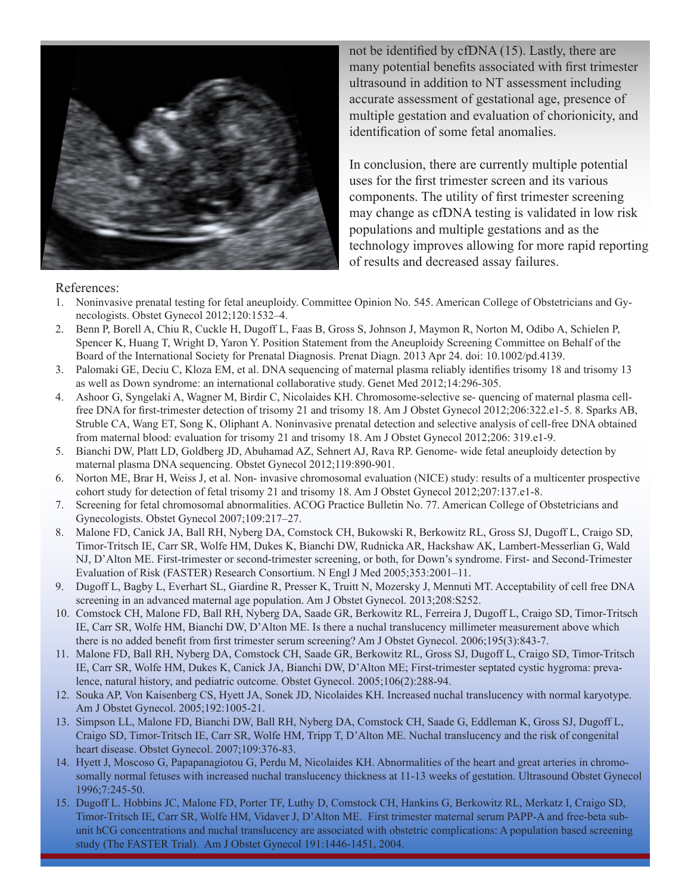

not be identified by cfDNA (15). Lastly, there are many potential benefits associated with first trimester ultrasound in addition to NT assessment including accurate assessment of gestational age, presence of multiple gestation and evaluation of chorionicity, and identification of some fetal anomalies.

In conclusion, there are currently multiple potential uses for the first trimester screen and its various components. The utility of first trimester screening may change as cfDNA testing is validated in low risk populations and multiple gestations and as the technology improves allowing for more rapid reporting of results and decreased assay failures.

#### References:

- 1. Noninvasive prenatal testing for fetal aneuploidy. Committee Opinion No. 545. American College of Obstetricians and Gynecologists. Obstet Gynecol 2012;120:1532–4.
- 2. Benn P, Borell A, Chiu R, Cuckle H, Dugoff L, Faas B, Gross S, Johnson J, Maymon R, Norton M, Odibo A, Schielen P, Spencer K, Huang T, Wright D, Yaron Y. Position Statement from the Aneuploidy Screening Committee on Behalf of the Board of the International Society for Prenatal Diagnosis. Prenat Diagn. 2013 Apr 24. doi: 10.1002/pd.4139.
- 3. Palomaki GE, Deciu C, Kloza EM, et al. DNA sequencing of maternal plasma reliably identifies trisomy 18 and trisomy 13 as well as Down syndrome: an international collaborative study. Genet Med 2012;14:296-305.
- 4. Ashoor G, Syngelaki A, Wagner M, Birdir C, Nicolaides KH. Chromosome-selective se- quencing of maternal plasma cellfree DNA for first-trimester detection of trisomy 21 and trisomy 18. Am J Obstet Gynecol 2012;206:322.e1-5. 8. Sparks AB, Struble CA, Wang ET, Song K, Oliphant A. Noninvasive prenatal detection and selective analysis of cell-free DNA obtained from maternal blood: evaluation for trisomy 21 and trisomy 18. Am J Obstet Gynecol 2012;206: 319.e1-9.
- 5. Bianchi DW, Platt LD, Goldberg JD, Abuhamad AZ, Sehnert AJ, Rava RP. Genome- wide fetal aneuploidy detection by maternal plasma DNA sequencing. Obstet Gynecol 2012;119:890-901.
- 6. Norton ME, Brar H, Weiss J, et al. Non- invasive chromosomal evaluation (NICE) study: results of a multicenter prospective cohort study for detection of fetal trisomy 21 and trisomy 18. Am J Obstet Gynecol 2012;207:137.e1-8.
- 7. Screening for fetal chromosomal abnormalities. ACOG Practice Bulletin No. 77. American College of Obstetricians and Gynecologists. Obstet Gynecol 2007;109:217–27.
- 8. Malone FD, Canick JA, Ball RH, Nyberg DA, Comstock CH, Bukowski R, Berkowitz RL, Gross SJ, Dugoff L, Craigo SD, Timor-Tritsch IE, Carr SR, Wolfe HM, Dukes K, Bianchi DW, Rudnicka AR, Hackshaw AK, Lambert-Messerlian G, Wald NJ, D'Alton ME. First-trimester or second-trimester screening, or both, for Down's syndrome. First- and Second-Trimester Evaluation of Risk (FASTER) Research Consortium. N Engl J Med 2005;353:2001–11.
- 9. Dugoff L, Bagby L, Everhart SL, Giardine R, Presser K, Truitt N, Mozersky J, Mennuti MT. Acceptability of cell free DNA screening in an advanced maternal age population. Am J Obstet Gynecol. 2013;208:S252.
- 10. Comstock CH, Malone FD, Ball RH, Nyberg DA, Saade GR, Berkowitz RL, Ferreira J, Dugoff L, Craigo SD, Timor-Tritsch IE, Carr SR, Wolfe HM, Bianchi DW, D'Alton ME. Is there a nuchal translucency millimeter measurement above which there is no added benefit from first trimester serum screening? Am J Obstet Gynecol. 2006;195(3):843-7.
- 11. Malone FD, Ball RH, Nyberg DA, Comstock CH, Saade GR, Berkowitz RL, Gross SJ, Dugoff L, Craigo SD, Timor-Tritsch IE, Carr SR, Wolfe HM, Dukes K, Canick JA, Bianchi DW, D'Alton ME; First-trimester septated cystic hygroma: prevalence, natural history, and pediatric outcome. Obstet Gynecol. 2005;106(2):288-94.
- 12. Souka AP, Von Kaisenberg CS, Hyett JA, Sonek JD, Nicolaides KH. Increased nuchal translucency with normal karyotype. Am J Obstet Gynecol. 2005;192:1005-21.
- 13. Simpson LL, Malone FD, Bianchi DW, Ball RH, Nyberg DA, Comstock CH, Saade G, Eddleman K, Gross SJ, Dugoff L, Craigo SD, Timor-Tritsch IE, Carr SR, Wolfe HM, Tripp T, D'Alton ME. Nuchal translucency and the risk of congenital heart disease. Obstet Gynecol. 2007;109:376-83.
- 14. Hyett J, Moscoso G, Papapanagiotou G, Perdu M, Nicolaides KH. Abnormalities of the heart and great arteries in chromosomally normal fetuses with increased nuchal translucency thickness at 11-13 weeks of gestation. Ultrasound Obstet Gynecol 1996;7:245-50.
- 15. Dugoff L. Hobbins JC, Malone FD, Porter TF, Luthy D, Comstock CH, Hankins G, Berkowitz RL, Merkatz I, Craigo SD, Timor-Tritsch IE, Carr SR, Wolfe HM, Vidaver J, D'Alton ME. First trimester maternal serum PAPP-A and free-beta subunit hCG concentrations and nuchal translucency are associated with obstetric complications: A population based screening study (The FASTER Trial). Am J Obstet Gynecol 191:1446-1451, 2004.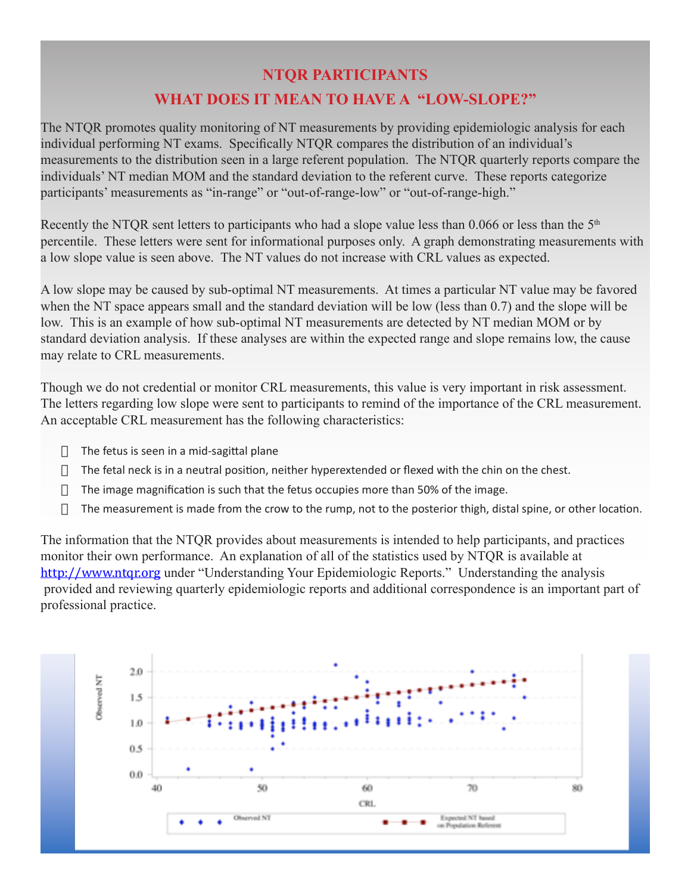## **NTQR PARTICIPANTS WHAT DOES IT MEAN TO HAVE A "LOW-SLOPE?"**

The NTQR promotes quality monitoring of NT measurements by providing epidemiologic analysis for each individual performing NT exams. Specifically NTQR compares the distribution of an individual's measurements to the distribution seen in a large referent population. The NTQR quarterly reports compare the individuals' NT median MOM and the standard deviation to the referent curve. These reports categorize participants' measurements as "in-range" or "out-of-range-low" or "out-of-range-high."

Recently the NTQR sent letters to participants who had a slope value less than 0.066 or less than the  $5<sup>th</sup>$ percentile. These letters were sent for informational purposes only. A graph demonstrating measurements with a low slope value is seen above. The NT values do not increase with CRL values as expected.

A low slope may be caused by sub-optimal NT measurements. At times a particular NT value may be favored when the NT space appears small and the standard deviation will be low (less than 0.7) and the slope will be low. This is an example of how sub-optimal NT measurements are detected by NT median MOM or by standard deviation analysis. If these analyses are within the expected range and slope remains low, the cause may relate to CRL measurements.

Though we do not credential or monitor CRL measurements, this value is very important in risk assessment. The letters regarding low slope were sent to participants to remind of the importance of the CRL measurement. An acceptable CRL measurement has the following characteristics:

- $\Box$  The fetus is seen in a mid-sagittal plane
- $\Box$  The fetal neck is in a neutral position, neither hyperextended or flexed with the chin on the chest.
- $\Box$  The image magnification is such that the fetus occupies more than 50% of the image.
- $\Box$  The measurement is made from the crow to the rump, not to the posterior thigh, distal spine, or other location.

The information that the NTQR provides about measurements is intended to help participants, and practices monitor their own performance. An explanation of all of the statistics used by NTQR is available at http://www.ntqr.org under "Understanding Your Epidemiologic Reports." Understanding the analysis provided and reviewing quarterly epidemiologic reports and additional correspondence is an important part of professional practice.